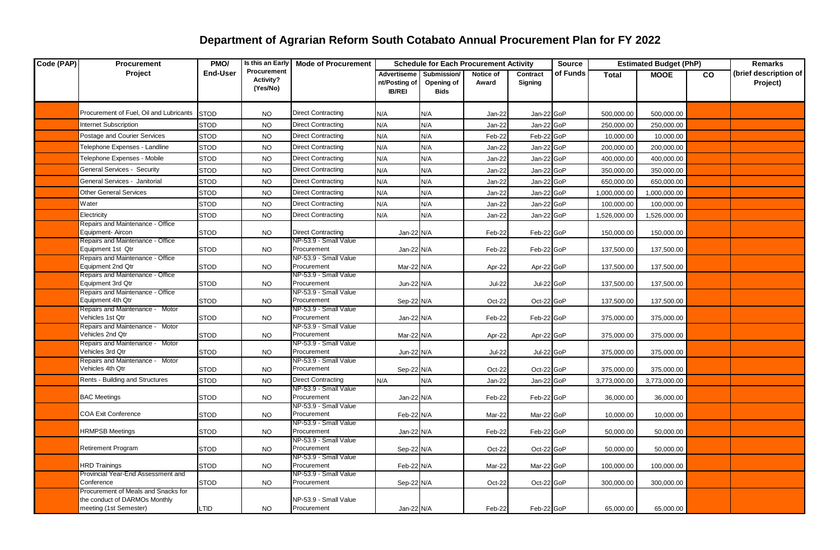| Code (PAP) | Procurement                                           | PMO/            | Is this an Early                     | <b>Mode of Procurement</b>           |                                                      | <b>Schedule for Each Procurement Activity</b> |                    |                     | <b>Source</b> | <b>Estimated Budget (PhP)</b> |              | <b>Remarks</b> |                                   |
|------------|-------------------------------------------------------|-----------------|--------------------------------------|--------------------------------------|------------------------------------------------------|-----------------------------------------------|--------------------|---------------------|---------------|-------------------------------|--------------|----------------|-----------------------------------|
|            | Project                                               | <b>End-User</b> | Procurement<br>Activity?<br>(Yes/No) |                                      | <b>Advertiseme</b><br>nt/Posting of<br><b>IB/REI</b> | Submission/<br>Opening of<br><b>Bids</b>      | Notice of<br>Award | Contract<br>Signing | of Funds      | <b>Total</b>                  | <b>MOOE</b>  | CO             | (brief description of<br>Project) |
|            | Procurement of Fuel, Oil and Lubricants               | <b>STOD</b>     | <b>NO</b>                            | <b>Direct Contracting</b>            | N/A                                                  | N/A                                           | Jan-22             | Jan-22 GoP          |               | 500,000.00                    | 500,000.00   |                |                                   |
|            | <b>Internet Subscription</b>                          | <b>STOD</b>     | <b>NO</b>                            | <b>Direct Contracting</b>            | N/A                                                  | N/A                                           | Jan-22             | Jan-22 GoP          |               | 250,000.00                    | 250,000.00   |                |                                   |
|            | Postage and Courier Services                          | <b>STOD</b>     | <b>NO</b>                            | <b>Direct Contracting</b>            | N/A                                                  | N/A                                           | Feb-22             | Feb-22 GoP          |               | 10,000.00                     | 10,000.00    |                |                                   |
|            | <b>Telephone Expenses - Landline</b>                  | <b>STOD</b>     | <b>NO</b>                            | <b>Direct Contracting</b>            | N/A                                                  | N/A                                           | Jan-22             | Jan-22 GoP          |               | 200,000.00                    | 200,000.00   |                |                                   |
|            | <b>Telephone Expenses - Mobile</b>                    | <b>STOD</b>     | <b>NO</b>                            | <b>Direct Contracting</b>            | N/A                                                  | N/A                                           | Jan-22             | Jan-22 GoP          |               | 400,000.00                    | 400,000.00   |                |                                   |
|            | <b>General Services - Security</b>                    | <b>STOD</b>     | <b>NO</b>                            | <b>Direct Contracting</b>            | N/A                                                  | N/A                                           | Jan-22             | Jan-22 GoP          |               | 350,000.00                    | 350,000.00   |                |                                   |
|            | General Services - Janitorial                         | <b>STOD</b>     | <b>NO</b>                            | <b>Direct Contracting</b>            | N/A                                                  | N/A                                           | Jan-22             | Jan-22 GoP          |               | 650,000.00                    | 650,000.00   |                |                                   |
|            | Other General Services                                | <b>STOD</b>     | <b>NO</b>                            | <b>Direct Contracting</b>            | N/A                                                  | N/A                                           | Jan-22             | Jan-22 GoP          |               | 1,000,000.00                  | 1,000,000.00 |                |                                   |
|            | Water                                                 | <b>STOD</b>     | <b>NO</b>                            | <b>Direct Contracting</b>            | N/A                                                  | N/A                                           | Jan-22             | Jan-22 GoP          |               | 100,000.00                    | 100,000.00   |                |                                   |
|            | Electricity                                           | <b>STOD</b>     | <b>NO</b>                            | <b>Direct Contracting</b>            | N/A                                                  | N/A                                           | Jan-22             | Jan-22 GoP          |               | 1,526,000.00                  | 1,526,000.00 |                |                                   |
|            | Repairs and Maintenance - Office                      |                 |                                      |                                      |                                                      |                                               |                    |                     |               |                               |              |                |                                   |
|            | Equipment-Aircon                                      | <b>STOD</b>     | <b>NO</b>                            | <b>Direct Contracting</b>            | Jan-22 N/A                                           |                                               | Feb-22             | Feb-22 GoP          |               | 150,000.00                    | 150,000.00   |                |                                   |
|            | Repairs and Maintenance - Office<br>Equipment 1st Qtr | <b>STOD</b>     | <b>NO</b>                            | NP-53.9 - Small Value<br>Procurement | Jan-22 N/A                                           |                                               | Feb-22             | Feb-22 GoP          |               | 137,500.00                    | 137,500.00   |                |                                   |
|            | Repairs and Maintenance - Office                      |                 |                                      | NP-53.9 - Small Value                |                                                      |                                               |                    |                     |               |                               |              |                |                                   |
|            | Equipment 2nd Qtr                                     | <b>STOD</b>     | <b>NO</b>                            | Procurement                          | Mar-22 N/A                                           |                                               | Apr-22             | Apr-22 GoP          |               | 137,500.00                    | 137,500.00   |                |                                   |
|            | Repairs and Maintenance - Office<br>Equipment 3rd Qtr |                 |                                      | NP-53.9 - Small Value<br>Procurement |                                                      |                                               |                    |                     |               |                               |              |                |                                   |
|            | Repairs and Maintenance - Office                      | <b>STOD</b>     | <b>NO</b>                            | NP-53.9 - Small Value                | Jun-22 N/A                                           |                                               | <b>Jul-22</b>      | Jul-22 GoP          |               | 137,500.00                    | 137,500.00   |                |                                   |
|            | Equipment 4th Qtr                                     | <b>STOD</b>     | <b>NO</b>                            | Procurement                          | Sep-22 N/A                                           |                                               | Oct-22             | Oct-22 GoP          |               | 137,500.00                    | 137,500.00   |                |                                   |
|            | Repairs and Maintenance - Motor                       |                 |                                      | NP-53.9 - Small Value                |                                                      |                                               |                    |                     |               |                               |              |                |                                   |
|            | Vehicles 1st Qtr<br>Repairs and Maintenance - Motor   | <b>STOD</b>     | <b>NO</b>                            | Procurement<br>NP-53.9 - Small Value | Jan-22 N/A                                           |                                               | Feb-22             | Feb-22 GoP          |               | 375,000.00                    | 375,000.00   |                |                                   |
|            | Vehicles 2nd Qtr                                      | <b>STOD</b>     | <b>NO</b>                            | Procurement                          | Mar-22 N/A                                           |                                               | Apr-22             | Apr-22 GoP          |               | 375,000.00                    | 375,000.00   |                |                                   |
|            | Repairs and Maintenance - Motor                       |                 |                                      | NP-53.9 - Small Value                |                                                      |                                               |                    |                     |               |                               |              |                |                                   |
|            | Vehicles 3rd Qtr                                      | <b>STOD</b>     | <b>NO</b>                            | Procurement                          | Jun-22 N/A                                           |                                               | <b>Jul-22</b>      | Jul-22 GoP          |               | 375,000.00                    | 375,000.00   |                |                                   |
|            | Repairs and Maintenance - Motor<br>Vehicles 4th Qtr   | <b>STOD</b>     | <b>NO</b>                            | NP-53.9 - Small Value<br>Procurement | Sep-22 N/A                                           |                                               | Oct-22             | Oct-22 GoP          |               | 375,000.00                    | 375,000.00   |                |                                   |
|            | Rents - Building and Structures                       | <b>STOD</b>     | <b>NO</b>                            | <b>Direct Contracting</b>            | N/A                                                  | N/A                                           | Jan-22             | Jan-22 GoP          |               | 3,773,000.00                  | 3,773,000.00 |                |                                   |
|            |                                                       |                 |                                      | NP-53.9 - Small Value                |                                                      |                                               |                    |                     |               |                               |              |                |                                   |
|            | <b>BAC Meetings</b>                                   | <b>STOD</b>     | <b>NO</b>                            | Procurement                          | Jan-22 N/A                                           |                                               | Feb-22             | Feb-22 GoP          |               | 36,000.00                     | 36,000.00    |                |                                   |
|            | <b>COA Exit Conference</b>                            | <b>STOD</b>     | <b>NO</b>                            | NP-53.9 - Small Value<br>Procurement | Feb-22 N/A                                           |                                               | Mar-22             | Mar-22 GoP          |               | 10,000.00                     | 10,000.00    |                |                                   |
|            |                                                       |                 |                                      | NP-53.9 - Small Value                |                                                      |                                               |                    |                     |               |                               |              |                |                                   |
|            | <b>HRMPSB Meetings</b>                                | <b>STOD</b>     | <b>NO</b>                            | Procurement                          | Jan-22 N/A                                           |                                               | Feb-22             | Feb-22 GoP          |               | 50,000.00                     | 50,000.00    |                |                                   |
|            |                                                       |                 |                                      | NP-53.9 - Small Value                |                                                      |                                               |                    |                     |               |                               |              |                |                                   |
|            | <b>Retirement Program</b>                             | <b>STOD</b>     | <b>NO</b>                            | Procurement<br>NP-53.9 - Small Value | Sep-22 N/A                                           |                                               | Oct-22             | Oct-22 GoP          |               | 50,000.00                     | 50,000.00    |                |                                   |
|            | <b>HRD Trainings</b>                                  | <b>STOD</b>     | <b>NO</b>                            | Procurement                          | Feb-22 N/A                                           |                                               | Mar-22             | Mar-22 GoP          |               | 100,000.00                    | 100,000.00   |                |                                   |
|            | Provincial Year-End Assessment and                    |                 |                                      | NP-53.9 - Small Value                |                                                      |                                               |                    |                     |               |                               |              |                |                                   |
|            | Conference<br>Procurement of Meals and Snacks for     | <b>STOD</b>     | NO.                                  | Procurement                          | Sep-22 N/A                                           |                                               | Oct-22             | Oct-22 GoP          |               | 300,000.00                    | 300,000.00   |                |                                   |
|            | the conduct of DARMOs Monthly                         |                 |                                      | NP-53.9 - Small Value                |                                                      |                                               |                    |                     |               |                               |              |                |                                   |
|            | meeting (1st Semester)                                | LTID            | <b>NO</b>                            | Procurement                          | Jan-22 N/A                                           |                                               | Feb-22             | Feb-22 GoP          |               | 65,000.00                     | 65,000.00    |                |                                   |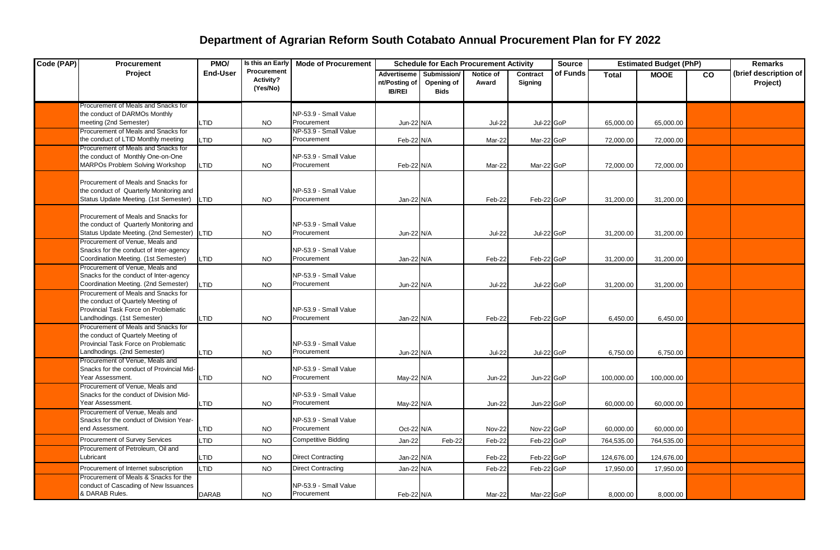| Code (PAP) | Procurement                                                                                                                                              | PMO/            | Is this an Early                     | <b>Mode of Procurement</b>           |                                                      | <b>Schedule for Each Procurement Activity</b> |                    |                     | <b>Source</b> | <b>Estimated Budget (PhP)</b> |             | <b>Remarks</b> |                                   |
|------------|----------------------------------------------------------------------------------------------------------------------------------------------------------|-----------------|--------------------------------------|--------------------------------------|------------------------------------------------------|-----------------------------------------------|--------------------|---------------------|---------------|-------------------------------|-------------|----------------|-----------------------------------|
|            | Project                                                                                                                                                  | <b>End-User</b> | Procurement<br>Activity?<br>(Yes/No) |                                      | <b>Advertiseme</b><br>nt/Posting of<br><b>IB/REI</b> | Submission/<br>Opening of<br><b>Bids</b>      | Notice of<br>Award | Contract<br>Signing | of Funds      | <b>Total</b>                  | <b>MOOE</b> | CO             | (brief description of<br>Project) |
|            | Procurement of Meals and Snacks for<br>the conduct of DARMOs Monthly<br>meeting (2nd Semester)                                                           | <b>LTID</b>     | <b>NO</b>                            | NP-53.9 - Small Value<br>Procurement | Jun-22 N/A                                           |                                               | <b>Jul-22</b>      | Jul-22 GoP          |               | 65.000.00                     | 65.000.00   |                |                                   |
|            | Procurement of Meals and Snacks for<br>the conduct of LTID Monthly meeting                                                                               | <b>LTID</b>     | <b>NO</b>                            | NP-53.9 - Small Value<br>Procurement | Feb-22 N/A                                           |                                               | Mar-22             | Mar-22 GoP          |               | 72,000.00                     | 72,000.00   |                |                                   |
|            | Procurement of Meals and Snacks for<br>the conduct of Monthly One-on-One<br><b>MARPOs Problem Solving Workshop</b>                                       | <b>LTID</b>     | <b>NO</b>                            | NP-53.9 - Small Value<br>Procurement | Feb-22 N/A                                           |                                               | Mar-22             | Mar-22 GoP          |               | 72,000.00                     | 72,000.00   |                |                                   |
|            | Procurement of Meals and Snacks for<br>the conduct of Quarterly Monitoring and<br>Status Update Meeting. (1st Semester)                                  | <b>LTID</b>     | <b>NO</b>                            | NP-53.9 - Small Value<br>Procurement | Jan-22 N/A                                           |                                               | Feb-22             | Feb-22 GoP          |               | 31,200.00                     | 31,200.00   |                |                                   |
|            | Procurement of Meals and Snacks for<br>the conduct of Quarterly Monitoring and<br>Status Update Meeting. (2nd Semester)                                  | LTID            | <b>NO</b>                            | NP-53.9 - Small Value<br>Procurement | Jun-22 N/A                                           |                                               | <b>Jul-22</b>      | Jul-22 GoP          |               | 31,200.00                     | 31,200.00   |                |                                   |
|            | Procurement of Venue, Meals and<br>Snacks for the conduct of Inter-agency<br>Coordination Meeting. (1st Semester)                                        | <b>LTID</b>     | <b>NO</b>                            | NP-53.9 - Small Value<br>Procurement | Jan-22 N/A                                           |                                               | Feb-22             | Feb-22 GoP          |               | 31,200.00                     | 31,200.00   |                |                                   |
|            | Procurement of Venue, Meals and<br>Snacks for the conduct of Inter-agency<br>Coordination Meeting. (2nd Semester)<br>Procurement of Meals and Snacks for | <b>LTID</b>     | <b>NO</b>                            | NP-53.9 - Small Value<br>Procurement | Jun-22 N/A                                           |                                               | <b>Jul-22</b>      | Jul-22 GoP          |               | 31,200.00                     | 31,200.00   |                |                                   |
|            | the conduct of Quartely Meeting of<br>Provincial Task Force on Problematic<br>andhodings. (1st Semester)                                                 | <b>LTID</b>     | <b>NO</b>                            | NP-53.9 - Small Value<br>Procurement | Jan-22 N/A                                           |                                               | Feb-22             | Feb-22 GoP          |               | 6,450.00                      | 6,450.00    |                |                                   |
|            | Procurement of Meals and Snacks for<br>the conduct of Quartely Meeting of<br>Provincial Task Force on Problematic<br>Landhodings. (2nd Semester)         | LTID            | <b>NO</b>                            | NP-53.9 - Small Value<br>Procurement | Jun-22 N/A                                           |                                               | <b>Jul-22</b>      | Jul-22 GoP          |               | 6,750.00                      | 6,750.00    |                |                                   |
|            | Procurement of Venue, Meals and<br>Snacks for the conduct of Provincial Mid-<br>Year Assessment.                                                         | <b>LTID</b>     | <b>NO</b>                            | NP-53.9 - Small Value<br>Procurement | May-22 N/A                                           |                                               | <b>Jun-22</b>      | Jun-22 GoP          |               | 100,000.00                    | 100,000.00  |                |                                   |
|            | Procurement of Venue, Meals and<br>Snacks for the conduct of Division Mid-<br>Year Assessment.                                                           | <b>LTID</b>     | <b>NO</b>                            | NP-53.9 - Small Value<br>Procurement | May-22 N/A                                           |                                               | <b>Jun-22</b>      | Jun-22 GoP          |               | 60,000.00                     | 60,000.00   |                |                                   |
|            | Procurement of Venue, Meals and<br>Snacks for the conduct of Division Year-<br>end Assessment.                                                           | <b>LTID</b>     | <b>NO</b>                            | NP-53.9 - Small Value<br>Procurement | Oct-22 N/A                                           |                                               | <b>Nov-22</b>      | Nov-22 GoP          |               | 60,000.00                     | 60,000.00   |                |                                   |
|            | Procurement of Survey Services                                                                                                                           | LTID            | <b>NO</b>                            | <b>Competitive Bidding</b>           | Jan-22                                               | Feb-22                                        | Feb-22             | Feb-22 GoP          |               | 764,535.00                    | 764,535.00  |                |                                   |
|            | Procurement of Petroleum, Oil and<br>Lubricant                                                                                                           | <b>LTID</b>     | <b>NO</b>                            | <b>Direct Contracting</b>            | Jan-22 N/A                                           |                                               | Feb-22             | Feb-22 GoP          |               | 124,676.00                    | 124,676.00  |                |                                   |
|            | Procurement of Internet subscription                                                                                                                     | <b>LTID</b>     | <b>NO</b>                            | <b>Direct Contracting</b>            | Jan-22 N/A                                           |                                               | Feb-22             | Feb-22 GoP          |               | 17,950.00                     | 17,950.00   |                |                                   |
|            | Procurement of Meals & Snacks for the<br>conduct of Cascading of New Issuances<br>& DARAB Rules.                                                         | <b>DARAB</b>    | <b>NO</b>                            | NP-53.9 - Small Value<br>Procurement | Feb-22 N/A                                           |                                               | Mar-22             | Mar-22 GoP          |               | 8,000.00                      | 8,000.00    |                |                                   |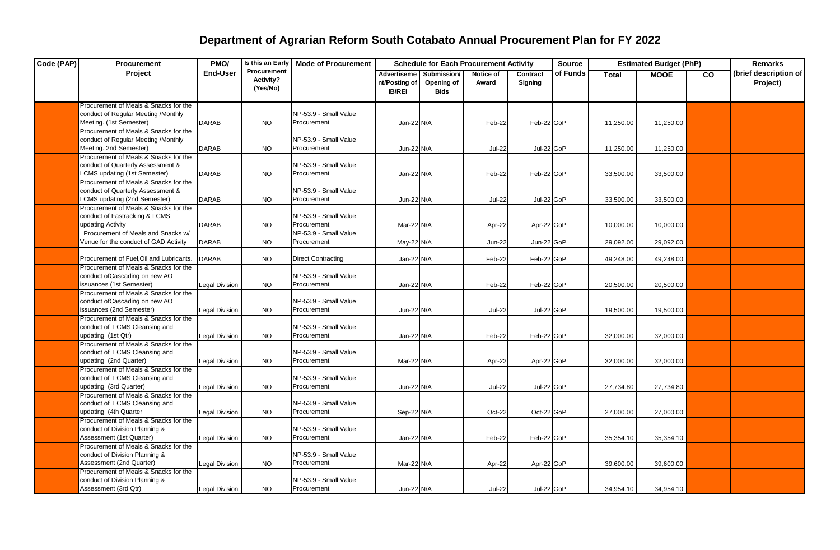| Code (PAP) | Procurement                                                                                                      | PMO/                  | Is this an Early                     | <b>Mode of Procurement</b>           |                                               | <b>Schedule for Each Procurement Activity</b> |                    |                     | <b>Source</b> | <b>Estimated Budget (PhP)</b> |             |           | <b>Remarks</b>                    |
|------------|------------------------------------------------------------------------------------------------------------------|-----------------------|--------------------------------------|--------------------------------------|-----------------------------------------------|-----------------------------------------------|--------------------|---------------------|---------------|-------------------------------|-------------|-----------|-----------------------------------|
|            | Project                                                                                                          | <b>End-User</b>       | Procurement<br>Activity?<br>(Yes/No) |                                      | Advertiseme<br>nt/Posting of<br><b>IB/REI</b> | Submission/<br>Opening of<br><b>Bids</b>      | Notice of<br>Award | Contract<br>Signing | of Funds      | <b>Total</b>                  | <b>MOOE</b> | <b>CO</b> | (brief description of<br>Project) |
|            | Procurement of Meals & Snacks for the<br>conduct of Regular Meeting /Monthly<br>Meeting. (1st Semester)          | <b>DARAB</b>          | <b>NO</b>                            | NP-53.9 - Small Value<br>Procurement | Jan-22 N/A                                    |                                               | Feb-22             | Feb-22 GoP          |               | 11,250.00                     | 11,250.00   |           |                                   |
|            | Procurement of Meals & Snacks for the<br>conduct of Regular Meeting /Monthly<br>Meeting. 2nd Semester)           | <b>DARAB</b>          | <b>NO</b>                            | NP-53.9 - Small Value<br>Procurement | Jun-22 N/A                                    |                                               | <b>Jul-22</b>      | Jul-22 GoP          |               | 11,250.00                     | 11,250.00   |           |                                   |
|            | Procurement of Meals & Snacks for the<br>conduct of Quarterly Assessment &<br><b>CMS</b> updating (1st Semester) | <b>DARAB</b>          | <b>NO</b>                            | NP-53.9 - Small Value<br>Procurement | Jan-22 N/A                                    |                                               | Feb-22             | Feb-22 GoP          |               | 33,500.00                     | 33,500.00   |           |                                   |
|            | Procurement of Meals & Snacks for the<br>conduct of Quarterly Assessment &<br><b>CMS</b> updating (2nd Semester) | <b>DARAB</b>          | <b>NO</b>                            | NP-53.9 - Small Value<br>Procurement | Jun-22 N/A                                    |                                               | <b>Jul-22</b>      | Jul-22 GoP          |               | 33,500.00                     | 33,500.00   |           |                                   |
|            | Procurement of Meals & Snacks for the<br>conduct of Fastracking & LCMS<br>updating Activity                      | <b>DARAB</b>          | <b>NO</b>                            | NP-53.9 - Small Value<br>Procurement | Mar-22 N/A                                    |                                               | Apr-22             | Apr-22 GoP          |               | 10,000.00                     | 10,000.00   |           |                                   |
|            | Procurement of Meals and Snacks w/<br>/enue for the conduct of GAD Activity                                      | <b>DARAB</b>          | NO.                                  | NP-53.9 - Small Value<br>Procurement | May-22 N/A                                    |                                               | Jun-22             | Jun-22 GoP          |               | 29,092.00                     | 29,092.00   |           |                                   |
|            | Procurement of Fuel, Oil and Lubricants.                                                                         | <b>DARAB</b>          | <b>NO</b>                            | <b>Direct Contracting</b>            | Jan-22 N/A                                    |                                               | Feb-22             | Feb-22 GoP          |               | 49,248.00                     | 49,248.00   |           |                                   |
|            | Procurement of Meals & Snacks for the<br>conduct of Cascading on new AO<br>ssuances (1st Semester)               | <b>Legal Division</b> | <b>NO</b>                            | NP-53.9 - Small Value<br>Procurement | Jan-22 N/A                                    |                                               | Feb-22             | Feb-22 GoP          |               | 20,500.00                     | 20,500.00   |           |                                   |
|            | Procurement of Meals & Snacks for the<br>conduct ofCascading on new AO<br>ssuances (2nd Semester)                | <b>Legal Division</b> | <b>NO</b>                            | NP-53.9 - Small Value<br>Procurement | Jun-22 N/A                                    |                                               | <b>Jul-22</b>      | Jul-22 GoP          |               | 19,500.00                     | 19,500.00   |           |                                   |
|            | Procurement of Meals & Snacks for the<br>conduct of LCMS Cleansing and<br>updating (1st Qtr)                     | <b>Legal Division</b> | <b>NO</b>                            | NP-53.9 - Small Value<br>Procurement | Jan-22 N/A                                    |                                               | Feb-22             | Feb-22 GoP          |               | 32,000.00                     | 32.000.00   |           |                                   |
|            | Procurement of Meals & Snacks for the<br>conduct of LCMS Cleansing and<br>updating (2nd Quarter)                 | <b>Legal Division</b> | <b>NO</b>                            | NP-53.9 - Small Value<br>Procurement | Mar-22 N/A                                    |                                               | Apr-22             | Apr-22 GoP          |               | 32,000.00                     | 32,000.00   |           |                                   |
|            | Procurement of Meals & Snacks for the<br>conduct of LCMS Cleansing and<br>updating (3rd Quarter)                 | <b>Legal Division</b> | <b>NO</b>                            | NP-53.9 - Small Value<br>Procurement | Jun-22 N/A                                    |                                               | <b>Jul-22</b>      | Jul-22 GoP          |               | 27,734.80                     | 27,734.80   |           |                                   |
|            | Procurement of Meals & Snacks for the<br>conduct of LCMS Cleansing and<br>updating (4th Quarter                  | <b>Legal Division</b> | <b>NO</b>                            | NP-53.9 - Small Value<br>Procurement | Sep-22 N/A                                    |                                               | Oct-22             | Oct-22 GoP          |               | 27,000.00                     | 27,000.00   |           |                                   |
|            | Procurement of Meals & Snacks for the<br>conduct of Division Planning &<br>Assessment (1st Quarter)              | <b>Legal Division</b> | <b>NO</b>                            | NP-53.9 - Small Value<br>Procurement | Jan-22 N/A                                    |                                               | Feb-22             | Feb-22 GoP          |               | 35,354.10                     | 35,354.10   |           |                                   |
|            | Procurement of Meals & Snacks for the<br>conduct of Division Planning &<br>Assessment (2nd Quarter)              | <b>Legal Division</b> | NO.                                  | NP-53.9 - Small Value<br>Procurement | Mar-22 N/A                                    |                                               | Apr-22             | Apr-22 GoP          |               | 39,600.00                     | 39,600.00   |           |                                   |
|            | Procurement of Meals & Snacks for the<br>conduct of Division Planning &<br>Assessment (3rd Qtr)                  | <b>Legal Division</b> | <b>NO</b>                            | NP-53.9 - Small Value<br>Procurement | Jun-22 N/A                                    |                                               | <b>Jul-22</b>      | Jul-22 GoP          |               | 34,954.10                     | 34,954.10   |           |                                   |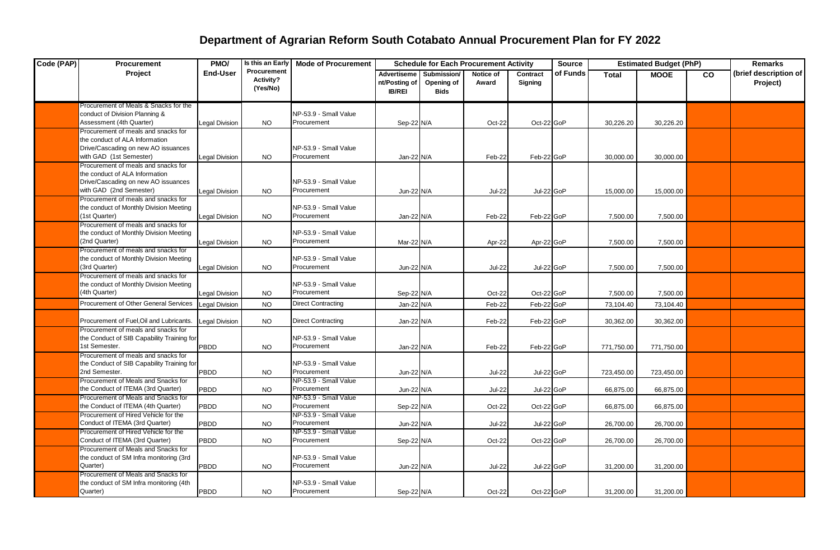| Code (PAP) | Procurement                                                                                                                             | PMO/                  | Is this an Early                     | <b>Estimated Budget (PhP)</b><br><b>Mode of Procurement</b><br><b>Schedule for Each Procurement Activity</b><br><b>Source</b> |                                                      |                                          | <b>Remarks</b>     |                     |          |              |             |    |                                   |
|------------|-----------------------------------------------------------------------------------------------------------------------------------------|-----------------------|--------------------------------------|-------------------------------------------------------------------------------------------------------------------------------|------------------------------------------------------|------------------------------------------|--------------------|---------------------|----------|--------------|-------------|----|-----------------------------------|
|            | <b>Project</b>                                                                                                                          | <b>End-User</b>       | Procurement<br>Activity?<br>(Yes/No) |                                                                                                                               | <b>Advertiseme</b><br>nt/Posting of<br><b>IB/REI</b> | Submission/<br>Opening of<br><b>Bids</b> | Notice of<br>Award | Contract<br>Signing | of Funds | <b>Total</b> | <b>MOOE</b> | CO | (brief description of<br>Project) |
|            | Procurement of Meals & Snacks for the<br>conduct of Division Planning &<br>Assessment (4th Quarter)                                     | Legal Division        | <b>NO</b>                            | NP-53.9 - Small Value<br>Procurement                                                                                          | Sep-22 N/A                                           |                                          | Oct-22             | Oct-22 GoP          |          | 30,226.20    | 30,226.20   |    |                                   |
|            | Procurement of meals and snacks for<br>the conduct of ALA Information<br>Drive/Cascading on new AO issuances<br>with GAD (1st Semester) | <b>Legal Division</b> | <b>NO</b>                            | NP-53.9 - Small Value<br>Procurement                                                                                          | Jan-22 N/A                                           |                                          | Feb-22             | Feb-22 GoP          |          | 30,000.00    | 30,000.00   |    |                                   |
|            | Procurement of meals and snacks for<br>the conduct of ALA Information<br>Drive/Cascading on new AO issuances<br>with GAD (2nd Semester) | <b>Legal Division</b> | <b>NO</b>                            | NP-53.9 - Small Value<br>Procurement                                                                                          | Jun-22 N/A                                           |                                          | <b>Jul-22</b>      | Jul-22 GoP          |          | 15,000.00    | 15.000.00   |    |                                   |
|            | Procurement of meals and snacks for<br>the conduct of Monthly Division Meeting<br>(1st Quarter)                                         | <b>Legal Division</b> | <b>NO</b>                            | NP-53.9 - Small Value<br>Procurement                                                                                          | Jan-22 N/A                                           |                                          | Feb-22             | Feb-22 GoP          |          | 7,500.00     | 7,500.00    |    |                                   |
|            | Procurement of meals and snacks for<br>the conduct of Monthly Division Meeting<br>(2nd Quarter)                                         | <b>Legal Division</b> | <b>NO</b>                            | NP-53.9 - Small Value<br>Procurement                                                                                          | Mar-22 N/A                                           |                                          | Apr-22             | Apr-22 GoP          |          | 7,500.00     | 7,500.00    |    |                                   |
|            | Procurement of meals and snacks for<br>the conduct of Monthly Division Meeting<br>(3rd Quarter)                                         | <b>Legal Division</b> | <b>NO</b>                            | NP-53.9 - Small Value<br>Procurement                                                                                          | Jun-22 N/A                                           |                                          | <b>Jul-22</b>      | Jul-22 GoP          |          | 7,500.00     | 7,500.00    |    |                                   |
|            | Procurement of meals and snacks for<br>the conduct of Monthly Division Meeting<br>(4th Quarter)                                         | <b>Legal Division</b> | <b>NO</b>                            | NP-53.9 - Small Value<br>Procurement                                                                                          | Sep-22 N/A                                           |                                          | Oct-22             | Oct-22 GoP          |          | 7,500.00     | 7,500.00    |    |                                   |
|            | Procurement of Other General Services                                                                                                   | <b>Legal Division</b> | <b>NO</b>                            | <b>Direct Contracting</b>                                                                                                     | Jan-22 N/A                                           |                                          | Feb-22             | Feb-22 GoP          |          | 73,104.40    | 73,104.40   |    |                                   |
|            | Procurement of Fuel, Oil and Lubricants.                                                                                                | <b>Legal Division</b> | <b>NO</b>                            | <b>Direct Contracting</b>                                                                                                     | Jan-22 N/A                                           |                                          | Feb-22             | Feb-22 GoP          |          | 30,362.00    | 30,362.00   |    |                                   |
|            | Procurement of meals and snacks for<br>the Conduct of SIB Capability Training for<br>1st Semester.                                      | <b>PBDD</b>           | <b>NO</b>                            | NP-53.9 - Small Value<br>Procurement                                                                                          | Jan-22 N/A                                           |                                          | Feb-22             | Feb-22 GoP          |          | 771,750.00   | 771,750.00  |    |                                   |
|            | Procurement of meals and snacks for<br>the Conduct of SIB Capability Training for<br>2nd Semester.                                      | PBDD                  | <b>NO</b>                            | NP-53.9 - Small Value<br>Procurement                                                                                          | Jun-22 N/A                                           |                                          | <b>Jul-22</b>      | Jul-22 GoP          |          | 723,450.00   | 723,450.00  |    |                                   |
|            | Procurement of Meals and Snacks for<br>the Conduct of ITEMA (3rd Quarter)                                                               | <b>PBDD</b>           | <b>NO</b>                            | NP-53.9 - Small Value<br>Procurement                                                                                          | Jun-22 N/A                                           |                                          | <b>Jul-22</b>      | Jul-22 GoP          |          | 66,875.00    | 66,875.00   |    |                                   |
|            | Procurement of Meals and Snacks for<br>the Conduct of ITEMA (4th Quarter)                                                               | PBDD                  | NO.                                  | NP-53.9 - Small Value<br>Procurement<br>NP-53.9 - Small Value                                                                 | Sep-22 N/A                                           |                                          | Oct-22             | Oct-22 GoP          |          | 66,875.00    | 66,875.00   |    |                                   |
|            | Procurement of Hired Vehicle for the<br>Conduct of ITEMA (3rd Quarter)                                                                  | <b>PBDD</b>           | NO.                                  | Procurement                                                                                                                   | Jun-22 N/A                                           |                                          | <b>Jul-22</b>      | Jul-22 GoP          |          | 26,700.00    | 26,700.00   |    |                                   |
|            | Procurement of Hired Vehicle for the<br>Conduct of ITEMA (3rd Quarter)<br>Procurement of Meals and Snacks for                           | <b>PBDD</b>           | <b>NO</b>                            | NP-53.9 - Small Value<br>Procurement                                                                                          | Sep-22 N/A                                           |                                          | Oct-22             | Oct-22 GoP          |          | 26,700.00    | 26,700.00   |    |                                   |
|            | the conduct of SM Infra monitoring (3rd<br>Quarter)                                                                                     | <b>PBDD</b>           | <b>NO</b>                            | NP-53.9 - Small Value<br>Procurement                                                                                          | Jun-22 N/A                                           |                                          | <b>Jul-22</b>      | Jul-22 GoP          |          | 31,200.00    | 31,200.00   |    |                                   |
|            | Procurement of Meals and Snacks for<br>the conduct of SM Infra monitoring (4th<br>Quarter)                                              | PBDD                  | <b>NO</b>                            | NP-53.9 - Small Value<br>Procurement                                                                                          | Sep-22 N/A                                           |                                          | Oct-22             | Oct-22 GoP          |          | 31,200.00    | 31,200.00   |    |                                   |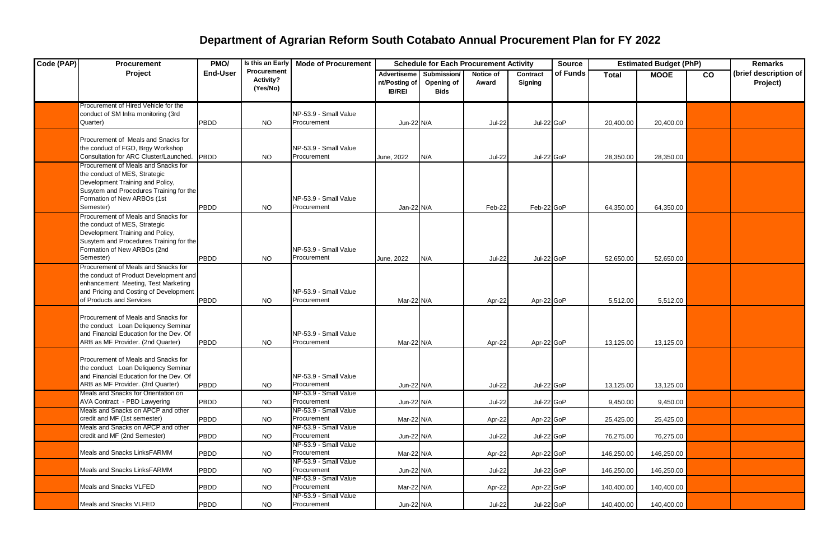| Code (PAP) | <b>Procurement</b>                                                                                                                                                                              | Is this an Early<br><b>Estimated Budget (PhP)</b><br>PMO/<br><b>Mode of Procurement</b><br>Source<br><b>Schedule for Each Procurement Activity</b> |                                      |                                      | <b>Remarks</b>                                |                                          |                    |                     |          |              |             |    |                                   |
|------------|-------------------------------------------------------------------------------------------------------------------------------------------------------------------------------------------------|----------------------------------------------------------------------------------------------------------------------------------------------------|--------------------------------------|--------------------------------------|-----------------------------------------------|------------------------------------------|--------------------|---------------------|----------|--------------|-------------|----|-----------------------------------|
|            | Project                                                                                                                                                                                         | <b>End-User</b>                                                                                                                                    | Procurement<br>Activity?<br>(Yes/No) |                                      | Advertiseme<br>nt/Posting of<br><b>IB/REI</b> | Submission/<br>Opening of<br><b>Bids</b> | Notice of<br>Award | Contract<br>Signing | of Funds | <b>Total</b> | <b>MOOE</b> | CO | (brief description of<br>Project) |
|            | Procurement of Hired Vehicle for the<br>conduct of SM Infra monitoring (3rd<br>Quarter)                                                                                                         | <b>PBDD</b>                                                                                                                                        | <b>NO</b>                            | NP-53.9 - Small Value<br>Procurement | Jun-22 N/A                                    |                                          | <b>Jul-22</b>      | Jul-22 GoP          |          | 20,400.00    | 20,400.00   |    |                                   |
|            | Procurement of Meals and Snacks for<br>the conduct of FGD, Brgy Workshop<br>Consultation for ARC Cluster/Launched.                                                                              | <b>PBDD</b>                                                                                                                                        | <b>NO</b>                            | NP-53.9 - Small Value<br>Procurement | June, 2022                                    | N/A                                      | <b>Jul-22</b>      | Jul-22 GoP          |          | 28,350.00    | 28,350.00   |    |                                   |
|            | Procurement of Meals and Snacks for<br>the conduct of MES, Strategic<br>Development Training and Policy,<br>Susytem and Procedures Training for the<br>Formation of New ARBOs (1st<br>Semester) | <b>PBDD</b>                                                                                                                                        | <b>NO</b>                            | NP-53.9 - Small Value<br>Procurement | Jan-22 N/A                                    |                                          | Feb-22             | Feb-22 GoP          |          | 64,350.00    | 64,350.00   |    |                                   |
|            | Procurement of Meals and Snacks for<br>the conduct of MES, Strategic<br>Development Training and Policy,<br>Susytem and Procedures Training for the<br>Formation of New ARBOs (2nd<br>Semester) | <b>PBDD</b>                                                                                                                                        | <b>NO</b>                            | NP-53.9 - Small Value<br>Procurement | June, 2022                                    | N/A                                      | <b>Jul-22</b>      | Jul-22 GoP          |          | 52,650.00    | 52,650.00   |    |                                   |
|            | Procurement of Meals and Snacks for<br>the conduct of Product Development and<br>enhancement Meeting, Test Marketing<br>and Pricing and Costing of Development<br>of Products and Services      | PBDD                                                                                                                                               | <b>NO</b>                            | NP-53.9 - Small Value<br>Procurement | Mar-22 N/A                                    |                                          | Apr-22             | Apr-22 GoP          |          | 5,512.00     | 5,512.00    |    |                                   |
|            | Procurement of Meals and Snacks for<br>the conduct Loan Deliquency Seminar<br>and Financial Education for the Dev. Of<br>ARB as MF Provider. (2nd Quarter)                                      | <b>PBDD</b>                                                                                                                                        | <b>NO</b>                            | NP-53.9 - Small Value<br>Procurement | Mar-22 N/A                                    |                                          | Apr-22             | Apr-22 GoP          |          | 13,125.00    | 13,125.00   |    |                                   |
|            | Procurement of Meals and Snacks for<br>the conduct Loan Deliquency Seminar<br>and Financial Education for the Dev. Of<br>ARB as MF Provider. (3rd Quarter)                                      | PBDD                                                                                                                                               | <b>NO</b>                            | NP-53.9 - Small Value<br>Procurement | Jun-22 N/A                                    |                                          | <b>Jul-22</b>      | Jul-22 GoP          |          | 13,125.00    | 13,125.00   |    |                                   |
|            | Meals and Snacks for Orientation on<br>AVA Contract - PBD Lawyering                                                                                                                             | <b>PBDD</b>                                                                                                                                        | <b>NO</b>                            | NP-53.9 - Small Value<br>Procurement | Jun-22 N/A                                    |                                          | <b>Jul-22</b>      | Jul-22 GoP          |          | 9,450.00     | 9,450.00    |    |                                   |
|            | Meals and Snacks on APCP and other<br>credit and MF (1st semester)                                                                                                                              | <b>PBDD</b>                                                                                                                                        | <b>NO</b>                            | NP-53.9 - Small Value<br>Procurement | Mar-22 N/A                                    |                                          | Apr-22             | Apr-22 GoP          |          | 25,425.00    | 25,425.00   |    |                                   |
|            | Meals and Snacks on APCP and other<br>credit and MF (2nd Semester)                                                                                                                              | <b>PBDD</b>                                                                                                                                        | <b>NO</b>                            | NP-53.9 - Small Value<br>Procurement | Jun-22 N/A                                    |                                          | <b>Jul-22</b>      | Jul-22 GoP          |          | 76,275.00    | 76,275.00   |    |                                   |
|            | Meals and Snacks LinksFARMM                                                                                                                                                                     | PBDD                                                                                                                                               | <b>NO</b>                            | NP-53.9 - Small Value<br>Procurement | Mar-22 N/A                                    |                                          | Apr-22             | Apr-22 GoP          |          | 146,250.00   | 146,250.00  |    |                                   |
|            | Meals and Snacks LinksFARMM                                                                                                                                                                     | PBDD                                                                                                                                               | <b>NO</b>                            | NP-53.9 - Small Value<br>Procurement | Jun-22 N/A                                    |                                          | <b>Jul-22</b>      | Jul-22 GoP          |          | 146,250.00   | 146,250.00  |    |                                   |
|            | Meals and Snacks VLFED                                                                                                                                                                          | PBDD                                                                                                                                               | <b>NO</b>                            | NP-53.9 - Small Value<br>Procurement | Mar-22 N/A                                    |                                          | Apr-22             | Apr-22 GoP          |          | 140,400.00   | 140,400.00  |    |                                   |
|            | Meals and Snacks VLFED                                                                                                                                                                          | PBDD                                                                                                                                               | <b>NO</b>                            | NP-53.9 - Small Value<br>Procurement | Jun-22 N/A                                    |                                          | <b>Jul-22</b>      | Jul-22 GoP          |          | 140,400.00   | 140,400.00  |    |                                   |